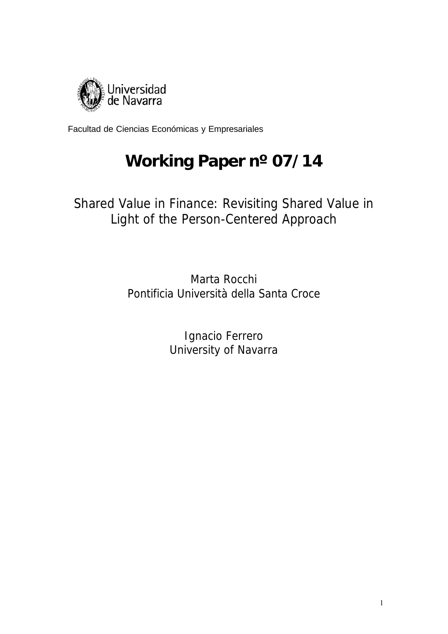

Facultad de Ciencias Económicas y Empresariales

# **Working Paper nº 07/14**

Shared Value in Finance: Revisiting Shared Value in Light of the Person-Centered Approach

> Marta Rocchi Pontificia Università della Santa Croce

> > Ignacio Ferrero University of Navarra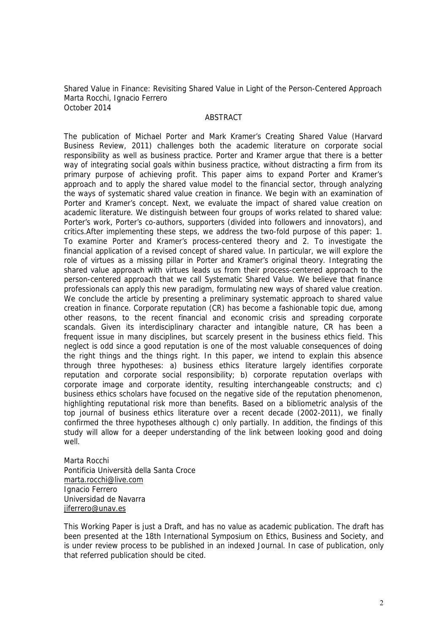Shared Value in Finance: Revisiting Shared Value in Light of the Person-Centered Approach Marta Rocchi, Ignacio Ferrero October 2014

#### ABSTRACT

The publication of Michael Porter and Mark Kramer's Creating Shared Value (Harvard Business Review, 2011) challenges both the academic literature on corporate social responsibility as well as business practice. Porter and Kramer argue that there is a better way of integrating social goals within business practice, without distracting a firm from its primary purpose of achieving profit. This paper aims to expand Porter and Kramer's approach and to apply the shared value model to the financial sector, through analyzing the ways of systematic shared value creation in finance. We begin with an examination of Porter and Kramer's concept. Next, we evaluate the impact of shared value creation on academic literature. We distinguish between four groups of works related to shared value: Porter's work, Porter's co-authors, supporters (divided into followers and innovators), and critics.After implementing these steps, we address the two-fold purpose of this paper: 1. To examine Porter and Kramer's process-centered theory and 2. To investigate the financial application of a revised concept of shared value. In particular, we will explore the role of virtues as a missing pillar in Porter and Kramer's original theory. Integrating the shared value approach with virtues leads us from their process-centered approach to the person-centered approach that we call Systematic Shared Value. We believe that finance professionals can apply this new paradigm, formulating new ways of shared value creation. We conclude the article by presenting a preliminary systematic approach to shared value creation in finance. Corporate reputation (CR) has become a fashionable topic due, among other reasons, to the recent financial and economic crisis and spreading corporate scandals. Given its interdisciplinary character and intangible nature, CR has been a frequent issue in many disciplines, but scarcely present in the business ethics field. This neglect is odd since a good reputation is one of the most valuable consequences of doing the right things and the things right. In this paper, we intend to explain this absence through three hypotheses: a) business ethics literature largely identifies corporate reputation and corporate social responsibility; b) corporate reputation overlaps with corporate image and corporate identity, resulting interchangeable constructs; and c) business ethics scholars have focused on the negative side of the reputation phenomenon, highlighting reputational risk more than benefits. Based on a bibliometric analysis of the top journal of business ethics literature over a recent decade (2002-2011), we finally confirmed the three hypotheses although c) only partially. In addition, the findings of this study will allow for a deeper understanding of the link between looking good and doing well.

Marta Rocchi Pontificia Università della Santa Croce marta.rocchi@live.com Ignacio Ferrero Universidad de Navarra jiferrero@unav.es

This Working Paper is just a Draft, and has no value as academic publication. The draft has been presented at the 18th International Symposium on Ethics, Business and Society, and is under review process to be published in an indexed Journal. In case of publication, only that referred publication should be cited.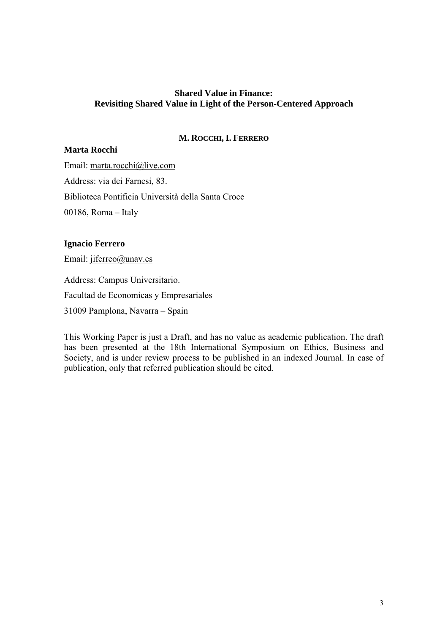# **Shared Value in Finance: Revisiting Shared Value in Light of the Person-Centered Approach**

# **M. ROCCHI, I. FERRERO**

# **Marta Rocchi**

Email: marta.rocchi@live.com Address: via dei Farnesi, 83. Biblioteca Pontificia Università della Santa Croce 00186, Roma – Italy

# **Ignacio Ferrero**

Email: jiferreo@unav.es

Address: Campus Universitario. Facultad de Economicas y Empresariales 31009 Pamplona, Navarra – Spain

This Working Paper is just a Draft, and has no value as academic publication. The draft has been presented at the 18th International Symposium on Ethics, Business and Society, and is under review process to be published in an indexed Journal. In case of publication, only that referred publication should be cited.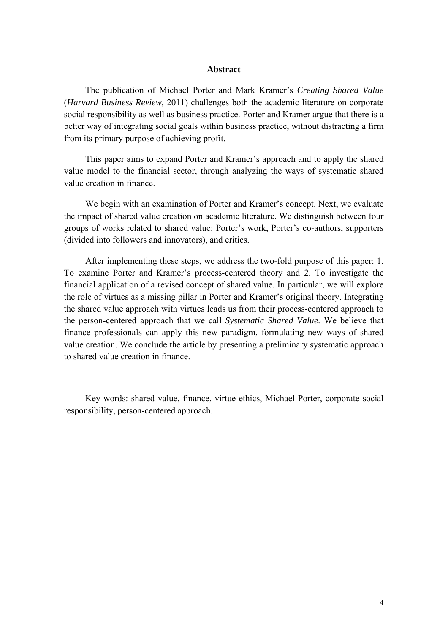## **Abstract**

The publication of Michael Porter and Mark Kramer's *Creating Shared Value* (*Harvard Business Review*, 2011) challenges both the academic literature on corporate social responsibility as well as business practice. Porter and Kramer argue that there is a better way of integrating social goals within business practice, without distracting a firm from its primary purpose of achieving profit.

This paper aims to expand Porter and Kramer's approach and to apply the shared value model to the financial sector, through analyzing the ways of systematic shared value creation in finance.

We begin with an examination of Porter and Kramer's concept. Next, we evaluate the impact of shared value creation on academic literature. We distinguish between four groups of works related to shared value: Porter's work, Porter's co-authors, supporters (divided into followers and innovators), and critics.

After implementing these steps, we address the two-fold purpose of this paper: 1. To examine Porter and Kramer's process-centered theory and 2. To investigate the financial application of a revised concept of shared value. In particular, we will explore the role of virtues as a missing pillar in Porter and Kramer's original theory. Integrating the shared value approach with virtues leads us from their process-centered approach to the person-centered approach that we call *Systematic Shared Value*. We believe that finance professionals can apply this new paradigm, formulating new ways of shared value creation. We conclude the article by presenting a preliminary systematic approach to shared value creation in finance.

Key words: shared value, finance, virtue ethics, Michael Porter, corporate social responsibility, person-centered approach.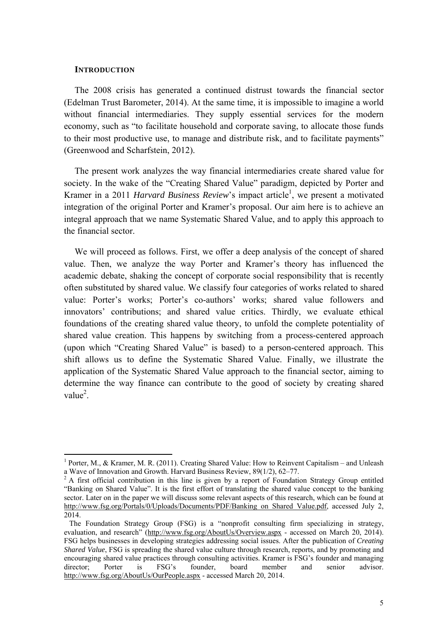#### **INTRODUCTION**

1

The 2008 crisis has generated a continued distrust towards the financial sector (Edelman Trust Barometer, 2014). At the same time, it is impossible to imagine a world without financial intermediaries. They supply essential services for the modern economy, such as "to facilitate household and corporate saving, to allocate those funds to their most productive use, to manage and distribute risk, and to facilitate payments" (Greenwood and Scharfstein, 2012).

The present work analyzes the way financial intermediaries create shared value for society. In the wake of the "Creating Shared Value" paradigm, depicted by Porter and Kramer in a 2011 *Harvard Business Review*'s impact article<sup>1</sup>, we present a motivated integration of the original Porter and Kramer's proposal. Our aim here is to achieve an integral approach that we name Systematic Shared Value, and to apply this approach to the financial sector.

We will proceed as follows. First, we offer a deep analysis of the concept of shared value. Then, we analyze the way Porter and Kramer's theory has influenced the academic debate, shaking the concept of corporate social responsibility that is recently often substituted by shared value. We classify four categories of works related to shared value: Porter's works; Porter's co-authors' works; shared value followers and innovators' contributions; and shared value critics. Thirdly, we evaluate ethical foundations of the creating shared value theory, to unfold the complete potentiality of shared value creation. This happens by switching from a process-centered approach (upon which "Creating Shared Value" is based) to a person-centered approach. This shift allows us to define the Systematic Shared Value. Finally, we illustrate the application of the Systematic Shared Value approach to the financial sector, aiming to determine the way finance can contribute to the good of society by creating shared value<sup>2</sup>.

<sup>&</sup>lt;sup>1</sup> Porter, M., & Kramer, M. R. (2011). Creating Shared Value: How to Reinvent Capitalism – and Unleash a Wave of Innovation and Growth. Harvard Business Review, 89(1/2), 62–77.

<sup>&</sup>lt;sup>2</sup> A first official contribution in this line is given by a report of Foundation Strategy Group entitled "Banking on Shared Value". It is the first effort of translating the shared value concept to the banking sector. Later on in the paper we will discuss some relevant aspects of this research, which can be found at http://www.fsg.org/Portals/0/Uploads/Documents/PDF/Banking\_on\_Shared\_Value.pdf, accessed July 2, 2014.

The Foundation Strategy Group (FSG) is a "nonprofit consulting firm specializing in strategy, evaluation, and research" (http://www.fsg.org/AboutUs/Overview.aspx - accessed on March 20, 2014). FSG helps businesses in developing strategies addressing social issues. After the publication of *Creating Shared Value*, FSG is spreading the shared value culture through research, reports, and by promoting and encouraging shared value practices through consulting activities. Kramer is FSG's founder and managing director; Porter is FSG's founder, board member and senior advisor. http://www.fsg.org/AboutUs/OurPeople.aspx - accessed March 20, 2014.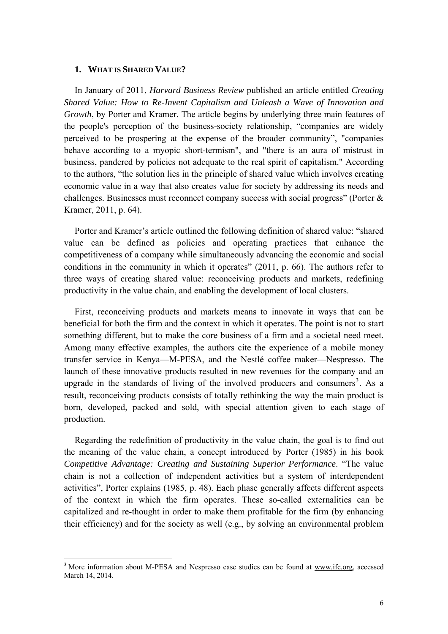## **1. WHAT IS SHARED VALUE?**

In January of 2011, *Harvard Business Review* published an article entitled *Creating Shared Value: How to Re-Invent Capitalism and Unleash a Wave of Innovation and Growth*, by Porter and Kramer. The article begins by underlying three main features of the people's perception of the business-society relationship, "companies are widely perceived to be prospering at the expense of the broader community", "companies behave according to a myopic short-termism", and "there is an aura of mistrust in business, pandered by policies not adequate to the real spirit of capitalism." According to the authors, "the solution lies in the principle of shared value which involves creating economic value in a way that also creates value for society by addressing its needs and challenges. Businesses must reconnect company success with social progress" (Porter & Kramer, 2011, p. 64).

Porter and Kramer's article outlined the following definition of shared value: "shared value can be defined as policies and operating practices that enhance the competitiveness of a company while simultaneously advancing the economic and social conditions in the community in which it operates" (2011, p. 66). The authors refer to three ways of creating shared value: reconceiving products and markets, redefining productivity in the value chain, and enabling the development of local clusters.

First, reconceiving products and markets means to innovate in ways that can be beneficial for both the firm and the context in which it operates. The point is not to start something different, but to make the core business of a firm and a societal need meet. Among many effective examples, the authors cite the experience of a mobile money transfer service in Kenya—M-PESA, and the Nestlé coffee maker—Nespresso. The launch of these innovative products resulted in new revenues for the company and an upgrade in the standards of living of the involved producers and consumers<sup>3</sup>. As a result, reconceiving products consists of totally rethinking the way the main product is born, developed, packed and sold, with special attention given to each stage of production.

Regarding the redefinition of productivity in the value chain, the goal is to find out the meaning of the value chain, a concept introduced by Porter (1985) in his book *Competitive Advantage: Creating and Sustaining Superior Performance*. "The value chain is not a collection of independent activities but a system of interdependent activities", Porter explains (1985, p. 48). Each phase generally affects different aspects of the context in which the firm operates. These so-called externalities can be capitalized and re-thought in order to make them profitable for the firm (by enhancing their efficiency) and for the society as well (e.g., by solving an environmental problem

1

<sup>&</sup>lt;sup>3</sup> More information about M-PESA and Nespresso case studies can be found at www.ifc.org, accessed March 14, 2014.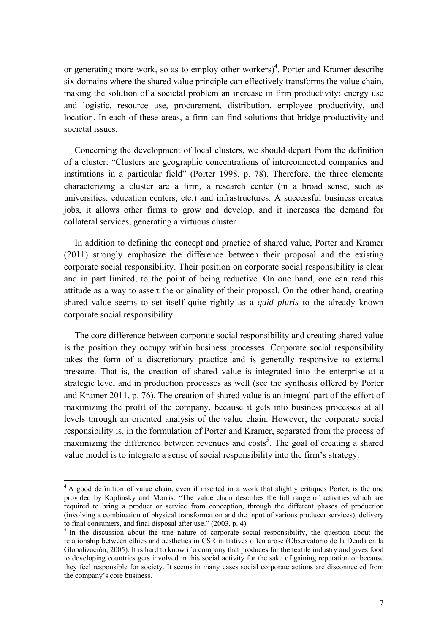or generating more work, so as to employ other workers)<sup>4</sup>. Porter and Kramer describe six domains where the shared value principle can effectively transforms the value chain, making the solution of a societal problem an increase in firm productivity: energy use and logistic, resource use, procurement, distribution, employee productivity, and location. In each of these areas, a firm can find solutions that bridge productivity and societal issues.

Concerning the development of local clusters, we should depart from the definition of a cluster: "Clusters are geographic concentrations of interconnected companies and institutions in a particular field" (Porter 1998, p. 78). Therefore, the three elements characterizing a cluster are a firm, a research center (in a broad sense, such as universities, education centers, etc.) and infrastructures. A successful business creates jobs, it allows other firms to grow and develop, and it increases the demand for collateral services, generating a virtuous cluster.

In addition to defining the concept and practice of shared value, Porter and Kramer (2011) strongly emphasize the difference between their proposal and the existing corporate social responsibility. Their position on corporate social responsibility is clear and in part limited, to the point of being reductive. On one hand, one can read this attitude as a way to assert the originality of their proposal. On the other hand, creating shared value seems to set itself quite rightly as a *quid pluris* to the already known corporate social responsibility.

The core difference between corporate social responsibility and creating shared value is the position they occupy within business processes. Corporate social responsibility takes the form of a discretionary practice and is generally responsive to external pressure. That is, the creation of shared value is integrated into the enterprise at a strategic level and in production processes as well (see the synthesis offered by Porter and Kramer 2011, p. 76). The creation of shared value is an integral part of the effort of maximizing the profit of the company, because it gets into business processes at all levels through an oriented analysis of the value chain. However, the corporate social responsibility is, in the formulation of Porter and Kramer, separated from the process of maximizing the difference between revenues and costs<sup>5</sup>. The goal of creating a shared value model is to integrate a sense of social responsibility into the firm's strategy.

1

<sup>&</sup>lt;sup>4</sup> A good definition of value chain, even if inserted in a work that slightly critiques Porter, is the one provided by Kaplinsky and Morris: "The value chain describes the full range of activities which are required to bring a product or service from conception, through the different phases of production (involving a combination of physical transformation and the input of various producer services), delivery to final consumers, and final disposal after use." (2003, p. 4).

<sup>&</sup>lt;sup>5</sup> In the discussion about the true nature of corporate social responsibility, the question about the relationship between ethics and aesthetics in CSR initiatives often arose (Observatorio de la Deuda en la Globalización, 2005). It is hard to know if a company that produces for the textile industry and gives food to developing countries gets involved in this social activity for the sake of gaining reputation or because they feel responsible for society. It seems in many cases social corporate actions are disconnected from the company's core business.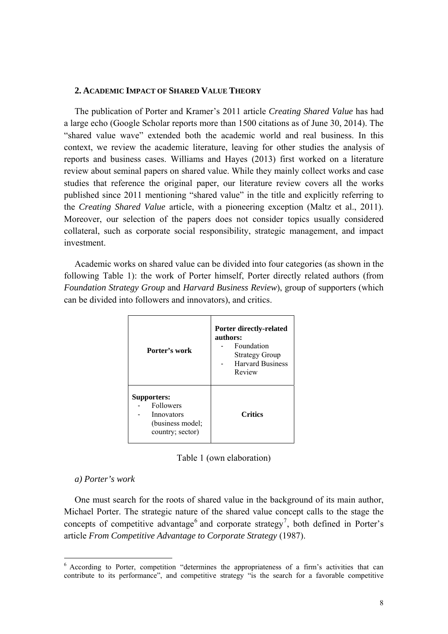## **2. ACADEMIC IMPACT OF SHARED VALUE THEORY**

The publication of Porter and Kramer's 2011 article *Creating Shared Value* has had a large echo (Google Scholar reports more than 1500 citations as of June 30, 2014). The "shared value wave" extended both the academic world and real business. In this context, we review the academic literature, leaving for other studies the analysis of reports and business cases. Williams and Hayes (2013) first worked on a literature review about seminal papers on shared value. While they mainly collect works and case studies that reference the original paper, our literature review covers all the works published since 2011 mentioning "shared value" in the title and explicitly referring to the *Creating Shared Value* article, with a pioneering exception (Maltz et al., 2011). Moreover, our selection of the papers does not consider topics usually considered collateral, such as corporate social responsibility, strategic management, and impact investment.

Academic works on shared value can be divided into four categories (as shown in the following Table 1): the work of Porter himself, Porter directly related authors (from *Foundation Strategy Group* and *Harvard Business Review*), group of supporters (which can be divided into followers and innovators), and critics.

| Porter's work                                                                         | <b>Porter directly-related</b><br>authors:<br>Foundation<br><b>Strategy Group</b><br><b>Harvard Business</b><br>Review |
|---------------------------------------------------------------------------------------|------------------------------------------------------------------------------------------------------------------------|
| Supporters:<br><b>Followers</b><br>Innovators<br>(business model;<br>country; sector) | <b>Critics</b>                                                                                                         |

Table 1 (own elaboration)

#### *a) Porter's work*

1

One must search for the roots of shared value in the background of its main author, Michael Porter. The strategic nature of the shared value concept calls to the stage the concepts of competitive advantage<sup>6</sup> and corporate strategy<sup>7</sup>, both defined in Porter's article *From Competitive Advantage to Corporate Strategy* (1987).

<sup>&</sup>lt;sup>6</sup> According to Porter, competition "determines the appropriateness of a firm's activities that can contribute to its performance", and competitive strategy "is the search for a favorable competitive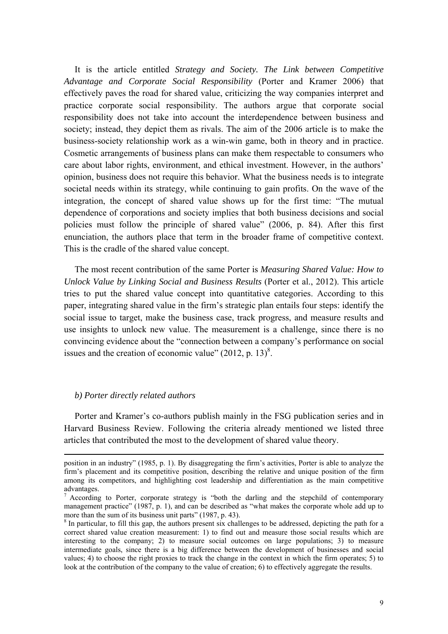It is the article entitled *Strategy and Society. The Link between Competitive Advantage and Corporate Social Responsibility* (Porter and Kramer 2006) that effectively paves the road for shared value, criticizing the way companies interpret and practice corporate social responsibility. The authors argue that corporate social responsibility does not take into account the interdependence between business and society; instead, they depict them as rivals. The aim of the 2006 article is to make the business-society relationship work as a win-win game, both in theory and in practice. Cosmetic arrangements of business plans can make them respectable to consumers who care about labor rights, environment, and ethical investment. However, in the authors' opinion, business does not require this behavior. What the business needs is to integrate societal needs within its strategy, while continuing to gain profits. On the wave of the integration, the concept of shared value shows up for the first time: "The mutual dependence of corporations and society implies that both business decisions and social policies must follow the principle of shared value" (2006, p. 84). After this first enunciation, the authors place that term in the broader frame of competitive context. This is the cradle of the shared value concept.

The most recent contribution of the same Porter is *Measuring Shared Value: How to Unlock Value by Linking Social and Business Results* (Porter et al., 2012). This article tries to put the shared value concept into quantitative categories. According to this paper, integrating shared value in the firm's strategic plan entails four steps: identify the social issue to target, make the business case, track progress, and measure results and use insights to unlock new value. The measurement is a challenge, since there is no convincing evidence about the "connection between a company's performance on social issues and the creation of economic value"  $(2012, p. 13)^8$ .

#### *b) Porter directly related authors*

Porter and Kramer's co-authors publish mainly in the FSG publication series and in Harvard Business Review. Following the criteria already mentioned we listed three articles that contributed the most to the development of shared value theory.

position in an industry" (1985, p. 1). By disaggregating the firm's activities, Porter is able to analyze the firm's placement and its competitive position, describing the relative and unique position of the firm among its competitors, and highlighting cost leadership and differentiation as the main competitive advantages.

 $<sup>7</sup>$  According to Porter, corporate strategy is "both the darling and the stepchild of contemporary</sup> management practice" (1987, p. 1), and can be described as "what makes the corporate whole add up to more than the sum of its business unit parts" (1987, p. 43).

<sup>&</sup>lt;sup>8</sup> In particular, to fill this gap, the authors present six challenges to be addressed, depicting the path for a correct shared value creation measurement: 1) to find out and measure those social results which are interesting to the company; 2) to measure social outcomes on large populations; 3) to measure intermediate goals, since there is a big difference between the development of businesses and social values; 4) to choose the right proxies to track the change in the context in which the firm operates; 5) to look at the contribution of the company to the value of creation; 6) to effectively aggregate the results.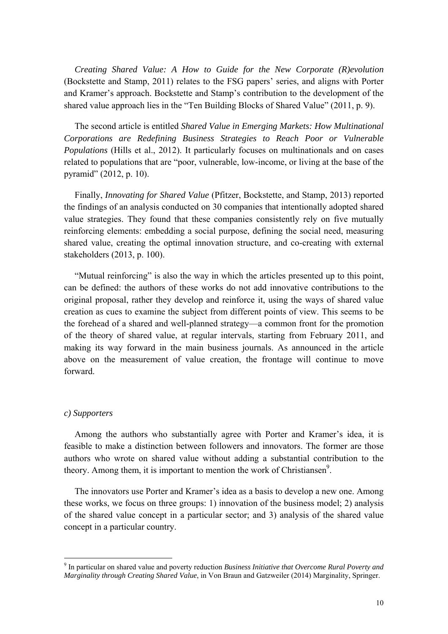*Creating Shared Value: A How to Guide for the New Corporate (R)evolution* (Bockstette and Stamp, 2011) relates to the FSG papers' series, and aligns with Porter and Kramer's approach. Bockstette and Stamp's contribution to the development of the shared value approach lies in the "Ten Building Blocks of Shared Value" (2011, p. 9).

The second article is entitled *Shared Value in Emerging Markets: How Multinational Corporations are Redefining Business Strategies to Reach Poor or Vulnerable Populations* (Hills et al., 2012). It particularly focuses on multinationals and on cases related to populations that are "poor, vulnerable, low-income, or living at the base of the pyramid" (2012, p. 10).

Finally, *Innovating for Shared Value* (Pfitzer, Bockstette, and Stamp, 2013) reported the findings of an analysis conducted on 30 companies that intentionally adopted shared value strategies. They found that these companies consistently rely on five mutually reinforcing elements: embedding a social purpose, defining the social need, measuring shared value, creating the optimal innovation structure, and co-creating with external stakeholders (2013, p. 100).

"Mutual reinforcing" is also the way in which the articles presented up to this point, can be defined: the authors of these works do not add innovative contributions to the original proposal, rather they develop and reinforce it, using the ways of shared value creation as cues to examine the subject from different points of view. This seems to be the forehead of a shared and well-planned strategy—a common front for the promotion of the theory of shared value, at regular intervals, starting from February 2011, and making its way forward in the main business journals. As announced in the article above on the measurement of value creation, the frontage will continue to move forward.

#### *c) Supporters*

1

Among the authors who substantially agree with Porter and Kramer's idea, it is feasible to make a distinction between followers and innovators. The former are those authors who wrote on shared value without adding a substantial contribution to the theory. Among them, it is important to mention the work of Christiansen<sup>9</sup>.

The innovators use Porter and Kramer's idea as a basis to develop a new one. Among these works, we focus on three groups: 1) innovation of the business model; 2) analysis of the shared value concept in a particular sector; and 3) analysis of the shared value concept in a particular country.

<sup>9</sup> In particular on shared value and poverty reduction *Business Initiative that Overcome Rural Poverty and Marginality through Creating Shared Value*, in Von Braun and Gatzweiler (2014) Marginality, Springer.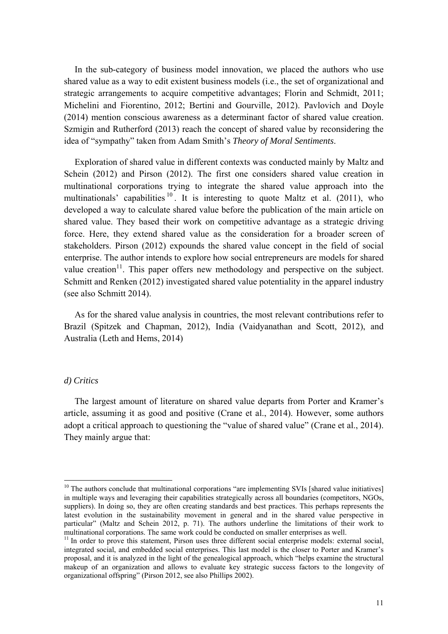In the sub-category of business model innovation, we placed the authors who use shared value as a way to edit existent business models (i.e., the set of organizational and strategic arrangements to acquire competitive advantages; Florin and Schmidt, 2011; Michelini and Fiorentino, 2012; Bertini and Gourville, 2012). Pavlovich and Doyle (2014) mention conscious awareness as a determinant factor of shared value creation. Szmigin and Rutherford (2013) reach the concept of shared value by reconsidering the idea of "sympathy" taken from Adam Smith's *Theory of Moral Sentiments*.

Exploration of shared value in different contexts was conducted mainly by Maltz and Schein (2012) and Pirson (2012). The first one considers shared value creation in multinational corporations trying to integrate the shared value approach into the multinationals' capabilities  $10^{\circ}$ . It is interesting to quote Maltz et al. (2011), who developed a way to calculate shared value before the publication of the main article on shared value. They based their work on competitive advantage as a strategic driving force. Here, they extend shared value as the consideration for a broader screen of stakeholders. Pirson (2012) expounds the shared value concept in the field of social enterprise. The author intends to explore how social entrepreneurs are models for shared value creation<sup>11</sup>. This paper offers new methodology and perspective on the subject. Schmitt and Renken (2012) investigated shared value potentiality in the apparel industry (see also Schmitt 2014).

As for the shared value analysis in countries, the most relevant contributions refer to Brazil (Spitzek and Chapman, 2012), India (Vaidyanathan and Scott, 2012), and Australia (Leth and Hems, 2014)

## *d) Critics*

1

The largest amount of literature on shared value departs from Porter and Kramer's article, assuming it as good and positive (Crane et al., 2014). However, some authors adopt a critical approach to questioning the "value of shared value" (Crane et al., 2014). They mainly argue that:

 $10$  The authors conclude that multinational corporations "are implementing SVIs [shared value initiatives] in multiple ways and leveraging their capabilities strategically across all boundaries (competitors, NGOs, suppliers). In doing so, they are often creating standards and best practices. This perhaps represents the latest evolution in the sustainability movement in general and in the shared value perspective in particular" (Maltz and Schein 2012, p. 71). The authors underline the limitations of their work to multinational corporations. The same work could be conducted on smaller enterprises as well.

 $11$  In order to prove this statement, Pirson uses three different social enterprise models: external social, integrated social, and embedded social enterprises. This last model is the closer to Porter and Kramer's proposal, and it is analyzed in the light of the genealogical approach, which "helps examine the structural makeup of an organization and allows to evaluate key strategic success factors to the longevity of organizational offspring" (Pirson 2012, see also Phillips 2002).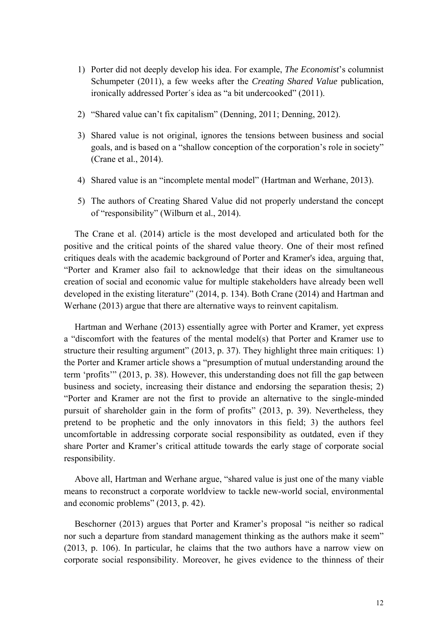- 1) Porter did not deeply develop his idea. For example, *The Economist*'s columnist Schumpeter (2011), a few weeks after the *Creating Shared Value* publication, ironically addressed Porter´s idea as "a bit undercooked" (2011).
- 2) "Shared value can't fix capitalism" (Denning, 2011; Denning, 2012).
- 3) Shared value is not original, ignores the tensions between business and social goals, and is based on a "shallow conception of the corporation's role in society" (Crane et al., 2014).
- 4) Shared value is an "incomplete mental model" (Hartman and Werhane, 2013).
- 5) The authors of Creating Shared Value did not properly understand the concept of "responsibility" (Wilburn et al., 2014).

The Crane et al. (2014) article is the most developed and articulated both for the positive and the critical points of the shared value theory. One of their most refined critiques deals with the academic background of Porter and Kramer's idea, arguing that, "Porter and Kramer also fail to acknowledge that their ideas on the simultaneous creation of social and economic value for multiple stakeholders have already been well developed in the existing literature" (2014, p. 134). Both Crane (2014) and Hartman and Werhane (2013) argue that there are alternative ways to reinvent capitalism.

Hartman and Werhane (2013) essentially agree with Porter and Kramer, yet express a "discomfort with the features of the mental model(s) that Porter and Kramer use to structure their resulting argument" (2013, p. 37). They highlight three main critiques: 1) the Porter and Kramer article shows a "presumption of mutual understanding around the term 'profits'" (2013, p. 38). However, this understanding does not fill the gap between business and society, increasing their distance and endorsing the separation thesis; 2) "Porter and Kramer are not the first to provide an alternative to the single-minded pursuit of shareholder gain in the form of profits" (2013, p. 39). Nevertheless, they pretend to be prophetic and the only innovators in this field; 3) the authors feel uncomfortable in addressing corporate social responsibility as outdated, even if they share Porter and Kramer's critical attitude towards the early stage of corporate social responsibility.

Above all, Hartman and Werhane argue, "shared value is just one of the many viable means to reconstruct a corporate worldview to tackle new-world social, environmental and economic problems" (2013, p. 42).

Beschorner (2013) argues that Porter and Kramer's proposal "is neither so radical nor such a departure from standard management thinking as the authors make it seem" (2013, p. 106). In particular, he claims that the two authors have a narrow view on corporate social responsibility. Moreover, he gives evidence to the thinness of their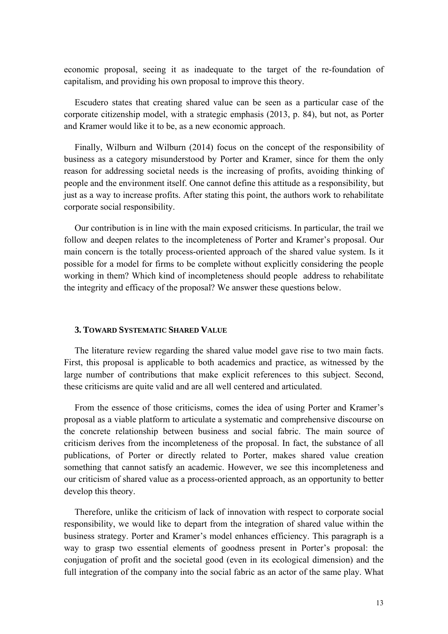economic proposal, seeing it as inadequate to the target of the re-foundation of capitalism, and providing his own proposal to improve this theory.

Escudero states that creating shared value can be seen as a particular case of the corporate citizenship model, with a strategic emphasis (2013, p. 84), but not, as Porter and Kramer would like it to be, as a new economic approach.

Finally, Wilburn and Wilburn (2014) focus on the concept of the responsibility of business as a category misunderstood by Porter and Kramer, since for them the only reason for addressing societal needs is the increasing of profits, avoiding thinking of people and the environment itself. One cannot define this attitude as a responsibility, but just as a way to increase profits. After stating this point, the authors work to rehabilitate corporate social responsibility.

Our contribution is in line with the main exposed criticisms. In particular, the trail we follow and deepen relates to the incompleteness of Porter and Kramer's proposal. Our main concern is the totally process-oriented approach of the shared value system. Is it possible for a model for firms to be complete without explicitly considering the people working in them? Which kind of incompleteness should people address to rehabilitate the integrity and efficacy of the proposal? We answer these questions below.

#### **3. TOWARD SYSTEMATIC SHARED VALUE**

The literature review regarding the shared value model gave rise to two main facts. First, this proposal is applicable to both academics and practice, as witnessed by the large number of contributions that make explicit references to this subject. Second, these criticisms are quite valid and are all well centered and articulated.

From the essence of those criticisms, comes the idea of using Porter and Kramer's proposal as a viable platform to articulate a systematic and comprehensive discourse on the concrete relationship between business and social fabric. The main source of criticism derives from the incompleteness of the proposal. In fact, the substance of all publications, of Porter or directly related to Porter, makes shared value creation something that cannot satisfy an academic. However, we see this incompleteness and our criticism of shared value as a process-oriented approach, as an opportunity to better develop this theory.

Therefore, unlike the criticism of lack of innovation with respect to corporate social responsibility, we would like to depart from the integration of shared value within the business strategy. Porter and Kramer's model enhances efficiency. This paragraph is a way to grasp two essential elements of goodness present in Porter's proposal: the conjugation of profit and the societal good (even in its ecological dimension) and the full integration of the company into the social fabric as an actor of the same play. What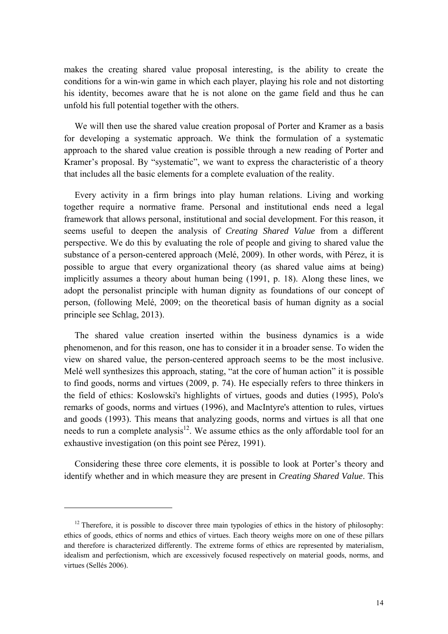makes the creating shared value proposal interesting, is the ability to create the conditions for a win-win game in which each player, playing his role and not distorting his identity, becomes aware that he is not alone on the game field and thus he can unfold his full potential together with the others.

We will then use the shared value creation proposal of Porter and Kramer as a basis for developing a systematic approach. We think the formulation of a systematic approach to the shared value creation is possible through a new reading of Porter and Kramer's proposal. By "systematic", we want to express the characteristic of a theory that includes all the basic elements for a complete evaluation of the reality.

Every activity in a firm brings into play human relations. Living and working together require a normative frame. Personal and institutional ends need a legal framework that allows personal, institutional and social development. For this reason, it seems useful to deepen the analysis of *Creating Shared Value* from a different perspective. We do this by evaluating the role of people and giving to shared value the substance of a person-centered approach (Melé, 2009). In other words, with Pérez, it is possible to argue that every organizational theory (as shared value aims at being) implicitly assumes a theory about human being (1991, p. 18). Along these lines, we adopt the personalist principle with human dignity as foundations of our concept of person, (following Melé, 2009; on the theoretical basis of human dignity as a social principle see Schlag, 2013).

The shared value creation inserted within the business dynamics is a wide phenomenon, and for this reason, one has to consider it in a broader sense. To widen the view on shared value, the person-centered approach seems to be the most inclusive. Melé well synthesizes this approach, stating, "at the core of human action" it is possible to find goods, norms and virtues (2009, p. 74). He especially refers to three thinkers in the field of ethics: Koslowski's highlights of virtues, goods and duties (1995), Polo's remarks of goods, norms and virtues (1996), and MacIntyre's attention to rules, virtues and goods (1993). This means that analyzing goods, norms and virtues is all that one needs to run a complete analysis<sup>12</sup>. We assume ethics as the only affordable tool for an exhaustive investigation (on this point see Pérez, 1991).

Considering these three core elements, it is possible to look at Porter's theory and identify whether and in which measure they are present in *Creating Shared Value*. This

1

 $12$  Therefore, it is possible to discover three main typologies of ethics in the history of philosophy: ethics of goods, ethics of norms and ethics of virtues. Each theory weighs more on one of these pillars and therefore is characterized differently. The extreme forms of ethics are represented by materialism, idealism and perfectionism, which are excessively focused respectively on material goods, norms, and virtues (Sellés 2006).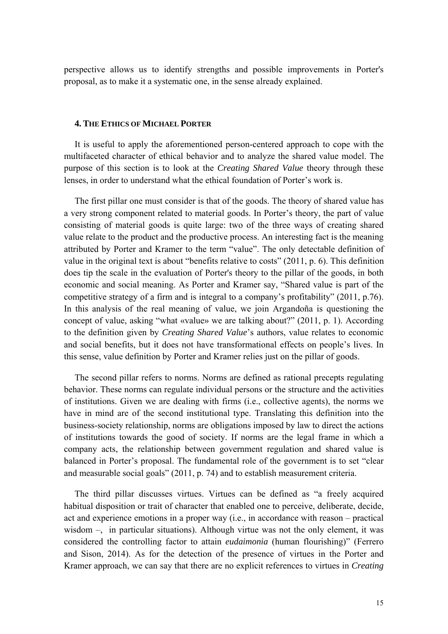perspective allows us to identify strengths and possible improvements in Porter's proposal, as to make it a systematic one, in the sense already explained.

## **4. THE ETHICS OF MICHAEL PORTER**

It is useful to apply the aforementioned person-centered approach to cope with the multifaceted character of ethical behavior and to analyze the shared value model. The purpose of this section is to look at the *Creating Shared Value* theory through these lenses, in order to understand what the ethical foundation of Porter's work is.

The first pillar one must consider is that of the goods. The theory of shared value has a very strong component related to material goods. In Porter's theory, the part of value consisting of material goods is quite large: two of the three ways of creating shared value relate to the product and the productive process. An interesting fact is the meaning attributed by Porter and Kramer to the term "value". The only detectable definition of value in the original text is about "benefits relative to costs" (2011, p. 6). This definition does tip the scale in the evaluation of Porter's theory to the pillar of the goods, in both economic and social meaning. As Porter and Kramer say, "Shared value is part of the competitive strategy of a firm and is integral to a company's profitability" (2011, p.76). In this analysis of the real meaning of value, we join Argandoña is questioning the concept of value, asking "what «value» we are talking about?" (2011, p. 1). According to the definition given by *Creating Shared Value*'s authors, value relates to economic and social benefits, but it does not have transformational effects on people's lives. In this sense, value definition by Porter and Kramer relies just on the pillar of goods.

The second pillar refers to norms. Norms are defined as rational precepts regulating behavior. These norms can regulate individual persons or the structure and the activities of institutions. Given we are dealing with firms (i.e., collective agents), the norms we have in mind are of the second institutional type. Translating this definition into the business-society relationship, norms are obligations imposed by law to direct the actions of institutions towards the good of society. If norms are the legal frame in which a company acts, the relationship between government regulation and shared value is balanced in Porter's proposal. The fundamental role of the government is to set "clear and measurable social goals" (2011, p. 74) and to establish measurement criteria.

The third pillar discusses virtues. Virtues can be defined as "a freely acquired habitual disposition or trait of character that enabled one to perceive, deliberate, decide, act and experience emotions in a proper way (i.e., in accordance with reason – practical wisdom –, in particular situations). Although virtue was not the only element, it was considered the controlling factor to attain *eudaimonia* (human flourishing)" (Ferrero and Sison, 2014). As for the detection of the presence of virtues in the Porter and Kramer approach, we can say that there are no explicit references to virtues in *Creating*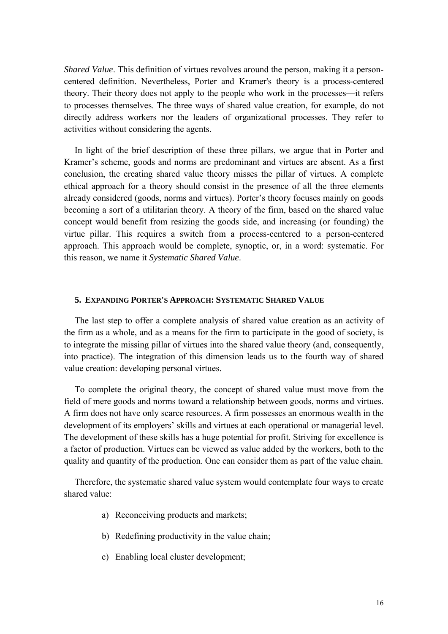*Shared Value*. This definition of virtues revolves around the person, making it a personcentered definition. Nevertheless, Porter and Kramer's theory is a process-centered theory. Their theory does not apply to the people who work in the processes—it refers to processes themselves. The three ways of shared value creation, for example, do not directly address workers nor the leaders of organizational processes. They refer to activities without considering the agents.

In light of the brief description of these three pillars, we argue that in Porter and Kramer's scheme, goods and norms are predominant and virtues are absent. As a first conclusion, the creating shared value theory misses the pillar of virtues. A complete ethical approach for a theory should consist in the presence of all the three elements already considered (goods, norms and virtues). Porter's theory focuses mainly on goods becoming a sort of a utilitarian theory. A theory of the firm, based on the shared value concept would benefit from resizing the goods side, and increasing (or founding) the virtue pillar. This requires a switch from a process-centered to a person-centered approach. This approach would be complete, synoptic, or, in a word: systematic. For this reason, we name it *Systematic Shared Value*.

#### **5. EXPANDING PORTER'S APPROACH: SYSTEMATIC SHARED VALUE**

The last step to offer a complete analysis of shared value creation as an activity of the firm as a whole, and as a means for the firm to participate in the good of society, is to integrate the missing pillar of virtues into the shared value theory (and, consequently, into practice). The integration of this dimension leads us to the fourth way of shared value creation: developing personal virtues.

To complete the original theory, the concept of shared value must move from the field of mere goods and norms toward a relationship between goods, norms and virtues. A firm does not have only scarce resources. A firm possesses an enormous wealth in the development of its employers' skills and virtues at each operational or managerial level. The development of these skills has a huge potential for profit. Striving for excellence is a factor of production. Virtues can be viewed as value added by the workers, both to the quality and quantity of the production. One can consider them as part of the value chain.

Therefore, the systematic shared value system would contemplate four ways to create shared value:

- a) Reconceiving products and markets;
- b) Redefining productivity in the value chain;
- c) Enabling local cluster development;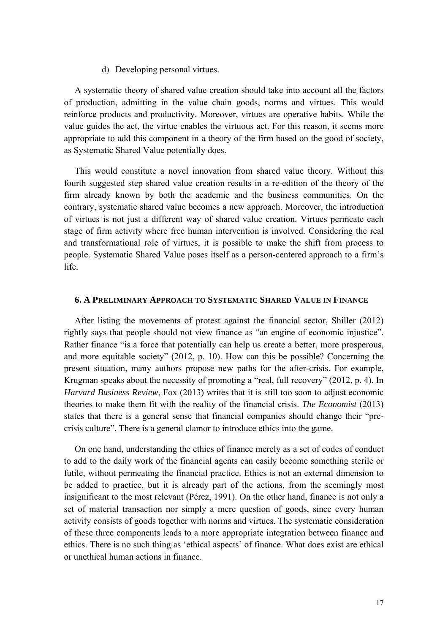# d) Developing personal virtues.

A systematic theory of shared value creation should take into account all the factors of production, admitting in the value chain goods, norms and virtues. This would reinforce products and productivity. Moreover, virtues are operative habits. While the value guides the act, the virtue enables the virtuous act. For this reason, it seems more appropriate to add this component in a theory of the firm based on the good of society, as Systematic Shared Value potentially does.

This would constitute a novel innovation from shared value theory. Without this fourth suggested step shared value creation results in a re-edition of the theory of the firm already known by both the academic and the business communities. On the contrary, systematic shared value becomes a new approach. Moreover, the introduction of virtues is not just a different way of shared value creation. Virtues permeate each stage of firm activity where free human intervention is involved. Considering the real and transformational role of virtues, it is possible to make the shift from process to people. Systematic Shared Value poses itself as a person-centered approach to a firm's life.

#### **6. A PRELIMINARY APPROACH TO SYSTEMATIC SHARED VALUE IN FINANCE**

After listing the movements of protest against the financial sector, Shiller (2012) rightly says that people should not view finance as "an engine of economic injustice". Rather finance "is a force that potentially can help us create a better, more prosperous, and more equitable society" (2012, p. 10). How can this be possible? Concerning the present situation, many authors propose new paths for the after-crisis. For example, Krugman speaks about the necessity of promoting a "real, full recovery" (2012, p. 4). In *Harvard Business Review*, Fox (2013) writes that it is still too soon to adjust economic theories to make them fit with the reality of the financial crisis. *The Economist* (2013) states that there is a general sense that financial companies should change their "precrisis culture". There is a general clamor to introduce ethics into the game.

On one hand, understanding the ethics of finance merely as a set of codes of conduct to add to the daily work of the financial agents can easily become something sterile or futile, without permeating the financial practice. Ethics is not an external dimension to be added to practice, but it is already part of the actions, from the seemingly most insignificant to the most relevant (Pérez, 1991). On the other hand, finance is not only a set of material transaction nor simply a mere question of goods, since every human activity consists of goods together with norms and virtues. The systematic consideration of these three components leads to a more appropriate integration between finance and ethics. There is no such thing as 'ethical aspects' of finance. What does exist are ethical or unethical human actions in finance.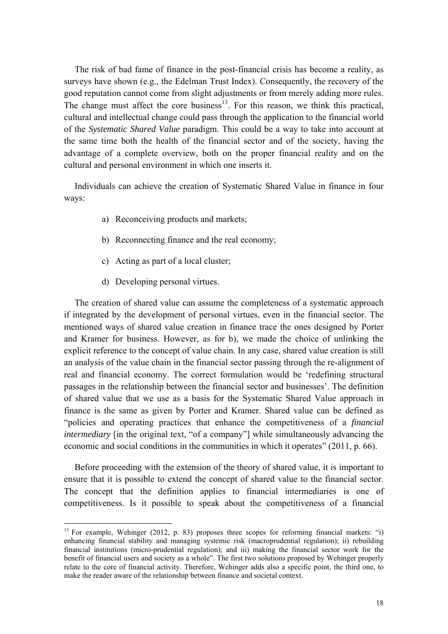The risk of bad fame of finance in the post-financial crisis has become a reality, as surveys have shown (e.g., the Edelman Trust Index). Consequently, the recovery of the good reputation cannot come from slight adjustments or from merely adding more rules. The change must affect the core business<sup>13</sup>. For this reason, we think this practical, cultural and intellectual change could pass through the application to the financial world of the *Systematic Shared Value* paradigm. This could be a way to take into account at the same time both the health of the financial sector and of the society, having the advantage of a complete overview, both on the proper financial reality and on the cultural and personal environment in which one inserts it.

Individuals can achieve the creation of Systematic Shared Value in finance in four ways:

- a) Reconceiving products and markets;
- b) Reconnecting finance and the real economy;
- c) Acting as part of a local cluster;
- d) Developing personal virtues.

1

The creation of shared value can assume the completeness of a systematic approach if integrated by the development of personal virtues, even in the financial sector. The mentioned ways of shared value creation in finance trace the ones designed by Porter and Kramer for business. However, as for b), we made the choice of unlinking the explicit reference to the concept of value chain. In any case, shared value creation is still an analysis of the value chain in the financial sector passing through the re-alignment of real and financial economy. The correct formulation would be 'redefining structural passages in the relationship between the financial sector and businesses'. The definition of shared value that we use as a basis for the Systematic Shared Value approach in finance is the same as given by Porter and Kramer. Shared value can be defined as "policies and operating practices that enhance the competitiveness of a *financial intermediary* [in the original text, "of a company"] while simultaneously advancing the economic and social conditions in the communities in which it operates" (2011, p. 66).

Before proceeding with the extension of the theory of shared value, it is important to ensure that it is possible to extend the concept of shared value to the financial sector. The concept that the definition applies to financial intermediaries is one of competitiveness. Is it possible to speak about the competitiveness of a financial

<sup>&</sup>lt;sup>13</sup> For example, Wehinger (2012, p. 83) proposes three scopes for reforming financial markets: "i) enhancing financial stability and managing systemic risk (macroprudential regulation); ii) rebuilding financial institutions (micro-prudential regulation); and iii) making the financial sector work for the benefit of financial users and society as a whole". The first two solutions proposed by Wehinger properly relate to the core of financial activity. Therefore, Wehinger adds also a specific point, the third one, to make the reader aware of the relationship between finance and societal context.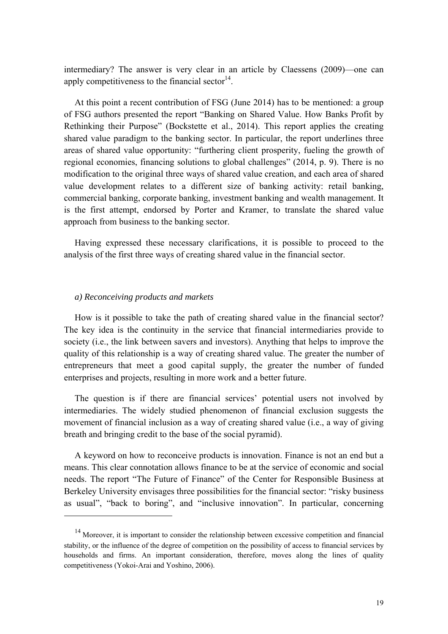intermediary? The answer is very clear in an article by Claessens (2009)—one can apply competitiveness to the financial sector  $14$ .

At this point a recent contribution of FSG (June 2014) has to be mentioned: a group of FSG authors presented the report "Banking on Shared Value. How Banks Profit by Rethinking their Purpose" (Bockstette et al., 2014). This report applies the creating shared value paradigm to the banking sector. In particular, the report underlines three areas of shared value opportunity: "furthering client prosperity, fueling the growth of regional economies, financing solutions to global challenges" (2014, p. 9). There is no modification to the original three ways of shared value creation, and each area of shared value development relates to a different size of banking activity: retail banking, commercial banking, corporate banking, investment banking and wealth management. It is the first attempt, endorsed by Porter and Kramer, to translate the shared value approach from business to the banking sector.

Having expressed these necessary clarifications, it is possible to proceed to the analysis of the first three ways of creating shared value in the financial sector.

## *a) Reconceiving products and markets*

1

How is it possible to take the path of creating shared value in the financial sector? The key idea is the continuity in the service that financial intermediaries provide to society (i.e., the link between savers and investors). Anything that helps to improve the quality of this relationship is a way of creating shared value. The greater the number of entrepreneurs that meet a good capital supply, the greater the number of funded enterprises and projects, resulting in more work and a better future.

The question is if there are financial services' potential users not involved by intermediaries. The widely studied phenomenon of financial exclusion suggests the movement of financial inclusion as a way of creating shared value (i.e., a way of giving breath and bringing credit to the base of the social pyramid).

A keyword on how to reconceive products is innovation. Finance is not an end but a means. This clear connotation allows finance to be at the service of economic and social needs. The report "The Future of Finance" of the Center for Responsible Business at Berkeley University envisages three possibilities for the financial sector: "risky business as usual", "back to boring", and "inclusive innovation". In particular, concerning

<sup>&</sup>lt;sup>14</sup> Moreover, it is important to consider the relationship between excessive competition and financial stability, or the influence of the degree of competition on the possibility of access to financial services by households and firms. An important consideration, therefore, moves along the lines of quality competitiveness (Yokoi-Arai and Yoshino, 2006).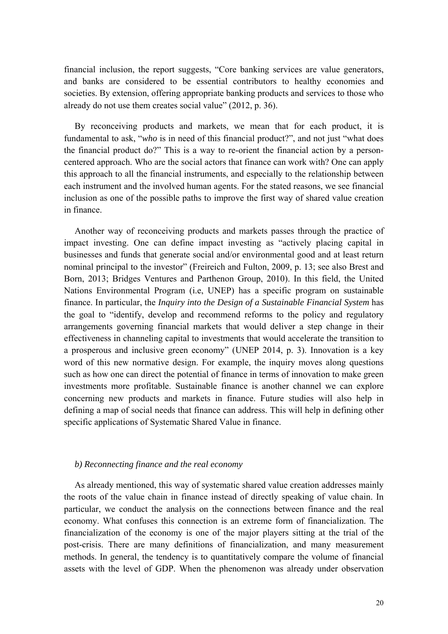financial inclusion, the report suggests, "Core banking services are value generators, and banks are considered to be essential contributors to healthy economies and societies. By extension, offering appropriate banking products and services to those who already do not use them creates social value" (2012, p. 36).

By reconceiving products and markets, we mean that for each product, it is fundamental to ask, "*who* is in need of this financial product?", and not just "what does the financial product do?" This is a way to re-orient the financial action by a personcentered approach. Who are the social actors that finance can work with? One can apply this approach to all the financial instruments, and especially to the relationship between each instrument and the involved human agents. For the stated reasons, we see financial inclusion as one of the possible paths to improve the first way of shared value creation in finance.

Another way of reconceiving products and markets passes through the practice of impact investing. One can define impact investing as "actively placing capital in businesses and funds that generate social and/or environmental good and at least return nominal principal to the investor" (Freireich and Fulton, 2009, p. 13; see also Brest and Born, 2013; Bridges Ventures and Parthenon Group, 2010). In this field, the United Nations Environmental Program (i.e, UNEP) has a specific program on sustainable finance. In particular, the *Inquiry into the Design of a Sustainable Financial System* has the goal to "identify, develop and recommend reforms to the policy and regulatory arrangements governing financial markets that would deliver a step change in their effectiveness in channeling capital to investments that would accelerate the transition to a prosperous and inclusive green economy" (UNEP 2014, p. 3). Innovation is a key word of this new normative design. For example, the inquiry moves along questions such as how one can direct the potential of finance in terms of innovation to make green investments more profitable. Sustainable finance is another channel we can explore concerning new products and markets in finance. Future studies will also help in defining a map of social needs that finance can address. This will help in defining other specific applications of Systematic Shared Value in finance.

## *b) Reconnecting finance and the real economy*

As already mentioned, this way of systematic shared value creation addresses mainly the roots of the value chain in finance instead of directly speaking of value chain. In particular, we conduct the analysis on the connections between finance and the real economy. What confuses this connection is an extreme form of financialization. The financialization of the economy is one of the major players sitting at the trial of the post-crisis. There are many definitions of financialization, and many measurement methods. In general, the tendency is to quantitatively compare the volume of financial assets with the level of GDP. When the phenomenon was already under observation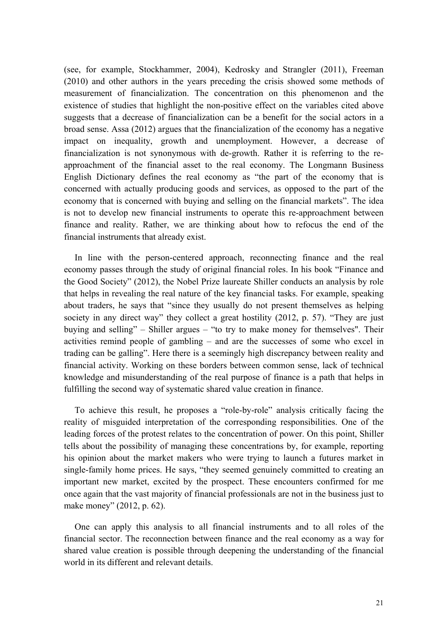(see, for example, Stockhammer, 2004), Kedrosky and Strangler (2011), Freeman (2010) and other authors in the years preceding the crisis showed some methods of measurement of financialization. The concentration on this phenomenon and the existence of studies that highlight the non-positive effect on the variables cited above suggests that a decrease of financialization can be a benefit for the social actors in a broad sense. Assa (2012) argues that the financialization of the economy has a negative impact on inequality, growth and unemployment. However, a decrease of financialization is not synonymous with de-growth. Rather it is referring to the reapproachment of the financial asset to the real economy. The Longmann Business English Dictionary defines the real economy as "the part of the economy that is concerned with actually producing goods and services, as opposed to the part of the economy that is concerned with buying and selling on the financial markets". The idea is not to develop new financial instruments to operate this re-approachment between finance and reality. Rather, we are thinking about how to refocus the end of the financial instruments that already exist.

In line with the person-centered approach, reconnecting finance and the real economy passes through the study of original financial roles. In his book "Finance and the Good Society" (2012), the Nobel Prize laureate Shiller conducts an analysis by role that helps in revealing the real nature of the key financial tasks. For example, speaking about traders, he says that "since they usually do not present themselves as helping society in any direct way" they collect a great hostility (2012, p. 57). "They are just buying and selling" – Shiller argues – "to try to make money for themselves". Their activities remind people of gambling – and are the successes of some who excel in trading can be galling". Here there is a seemingly high discrepancy between reality and financial activity. Working on these borders between common sense, lack of technical knowledge and misunderstanding of the real purpose of finance is a path that helps in fulfilling the second way of systematic shared value creation in finance.

To achieve this result, he proposes a "role-by-role" analysis critically facing the reality of misguided interpretation of the corresponding responsibilities. One of the leading forces of the protest relates to the concentration of power. On this point, Shiller tells about the possibility of managing these concentrations by, for example, reporting his opinion about the market makers who were trying to launch a futures market in single-family home prices. He says, "they seemed genuinely committed to creating an important new market, excited by the prospect. These encounters confirmed for me once again that the vast majority of financial professionals are not in the business just to make money" (2012, p. 62).

One can apply this analysis to all financial instruments and to all roles of the financial sector. The reconnection between finance and the real economy as a way for shared value creation is possible through deepening the understanding of the financial world in its different and relevant details.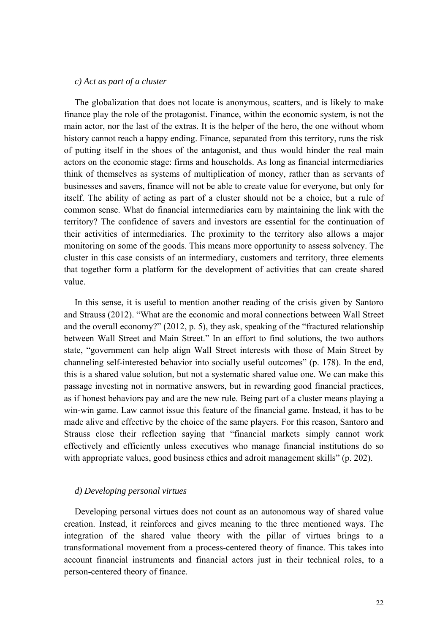# *c) Act as part of a cluster*

The globalization that does not locate is anonymous, scatters, and is likely to make finance play the role of the protagonist. Finance, within the economic system, is not the main actor, nor the last of the extras. It is the helper of the hero, the one without whom history cannot reach a happy ending. Finance, separated from this territory, runs the risk of putting itself in the shoes of the antagonist, and thus would hinder the real main actors on the economic stage: firms and households. As long as financial intermediaries think of themselves as systems of multiplication of money, rather than as servants of businesses and savers, finance will not be able to create value for everyone, but only for itself. The ability of acting as part of a cluster should not be a choice, but a rule of common sense. What do financial intermediaries earn by maintaining the link with the territory? The confidence of savers and investors are essential for the continuation of their activities of intermediaries. The proximity to the territory also allows a major monitoring on some of the goods. This means more opportunity to assess solvency. The cluster in this case consists of an intermediary, customers and territory, three elements that together form a platform for the development of activities that can create shared value.

In this sense, it is useful to mention another reading of the crisis given by Santoro and Strauss (2012). "What are the economic and moral connections between Wall Street and the overall economy?" (2012, p. 5), they ask, speaking of the "fractured relationship between Wall Street and Main Street." In an effort to find solutions, the two authors state, "government can help align Wall Street interests with those of Main Street by channeling self-interested behavior into socially useful outcomes" (p. 178). In the end, this is a shared value solution, but not a systematic shared value one. We can make this passage investing not in normative answers, but in rewarding good financial practices, as if honest behaviors pay and are the new rule. Being part of a cluster means playing a win-win game. Law cannot issue this feature of the financial game. Instead, it has to be made alive and effective by the choice of the same players. For this reason, Santoro and Strauss close their reflection saying that "financial markets simply cannot work effectively and efficiently unless executives who manage financial institutions do so with appropriate values, good business ethics and adroit management skills" (p. 202).

# *d) Developing personal virtues*

Developing personal virtues does not count as an autonomous way of shared value creation. Instead, it reinforces and gives meaning to the three mentioned ways. The integration of the shared value theory with the pillar of virtues brings to a transformational movement from a process-centered theory of finance. This takes into account financial instruments and financial actors just in their technical roles, to a person-centered theory of finance.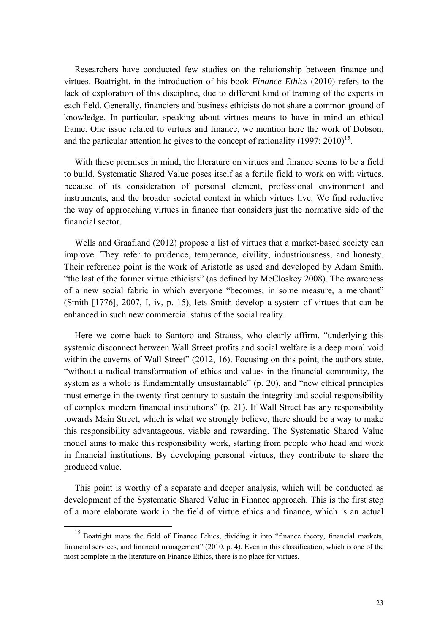Researchers have conducted few studies on the relationship between finance and virtues. Boatright, in the introduction of his book *Finance Ethics* (2010) refers to the lack of exploration of this discipline, due to different kind of training of the experts in each field. Generally, financiers and business ethicists do not share a common ground of knowledge. In particular, speaking about virtues means to have in mind an ethical frame. One issue related to virtues and finance, we mention here the work of Dobson, and the particular attention he gives to the concept of rationality  $(1997; 2010)^{15}$ .

With these premises in mind, the literature on virtues and finance seems to be a field to build. Systematic Shared Value poses itself as a fertile field to work on with virtues, because of its consideration of personal element, professional environment and instruments, and the broader societal context in which virtues live. We find reductive the way of approaching virtues in finance that considers just the normative side of the financial sector.

Wells and Graafland (2012) propose a list of virtues that a market-based society can improve. They refer to prudence, temperance, civility, industriousness, and honesty. Their reference point is the work of Aristotle as used and developed by Adam Smith, "the last of the former virtue ethicists" (as defined by McCloskey 2008). The awareness of a new social fabric in which everyone "becomes, in some measure, a merchant" (Smith [1776], 2007, I, iv, p. 15), lets Smith develop a system of virtues that can be enhanced in such new commercial status of the social reality.

Here we come back to Santoro and Strauss, who clearly affirm, "underlying this systemic disconnect between Wall Street profits and social welfare is a deep moral void within the caverns of Wall Street" (2012, 16). Focusing on this point, the authors state, "without a radical transformation of ethics and values in the financial community, the system as a whole is fundamentally unsustainable" (p. 20), and "new ethical principles must emerge in the twenty-first century to sustain the integrity and social responsibility of complex modern financial institutions" (p. 21). If Wall Street has any responsibility towards Main Street, which is what we strongly believe, there should be a way to make this responsibility advantageous, viable and rewarding. The Systematic Shared Value model aims to make this responsibility work, starting from people who head and work in financial institutions. By developing personal virtues, they contribute to share the produced value.

This point is worthy of a separate and deeper analysis, which will be conducted as development of the Systematic Shared Value in Finance approach. This is the first step of a more elaborate work in the field of virtue ethics and finance, which is an actual

<sup>&</sup>lt;sup>15</sup> Boatright maps the field of Finance Ethics, dividing it into "finance theory, financial markets, financial services, and financial management" (2010, p. 4). Even in this classification, which is one of the most complete in the literature on Finance Ethics, there is no place for virtues.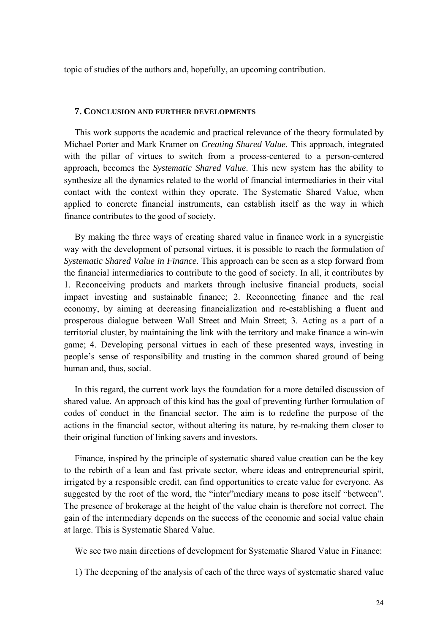topic of studies of the authors and, hopefully, an upcoming contribution.

## **7. CONCLUSION AND FURTHER DEVELOPMENTS**

This work supports the academic and practical relevance of the theory formulated by Michael Porter and Mark Kramer on *Creating Shared Value*. This approach, integrated with the pillar of virtues to switch from a process-centered to a person-centered approach, becomes the *Systematic Shared Value*. This new system has the ability to synthesize all the dynamics related to the world of financial intermediaries in their vital contact with the context within they operate. The Systematic Shared Value, when applied to concrete financial instruments, can establish itself as the way in which finance contributes to the good of society.

By making the three ways of creating shared value in finance work in a synergistic way with the development of personal virtues, it is possible to reach the formulation of *Systematic Shared Value in Finance*. This approach can be seen as a step forward from the financial intermediaries to contribute to the good of society. In all, it contributes by 1. Reconceiving products and markets through inclusive financial products, social impact investing and sustainable finance; 2. Reconnecting finance and the real economy, by aiming at decreasing financialization and re-establishing a fluent and prosperous dialogue between Wall Street and Main Street; 3. Acting as a part of a territorial cluster, by maintaining the link with the territory and make finance a win-win game; 4. Developing personal virtues in each of these presented ways, investing in people's sense of responsibility and trusting in the common shared ground of being human and, thus, social.

In this regard, the current work lays the foundation for a more detailed discussion of shared value. An approach of this kind has the goal of preventing further formulation of codes of conduct in the financial sector. The aim is to redefine the purpose of the actions in the financial sector, without altering its nature, by re-making them closer to their original function of linking savers and investors.

Finance, inspired by the principle of systematic shared value creation can be the key to the rebirth of a lean and fast private sector, where ideas and entrepreneurial spirit, irrigated by a responsible credit, can find opportunities to create value for everyone. As suggested by the root of the word, the "inter"mediary means to pose itself "between". The presence of brokerage at the height of the value chain is therefore not correct. The gain of the intermediary depends on the success of the economic and social value chain at large. This is Systematic Shared Value.

We see two main directions of development for Systematic Shared Value in Finance:

1) The deepening of the analysis of each of the three ways of systematic shared value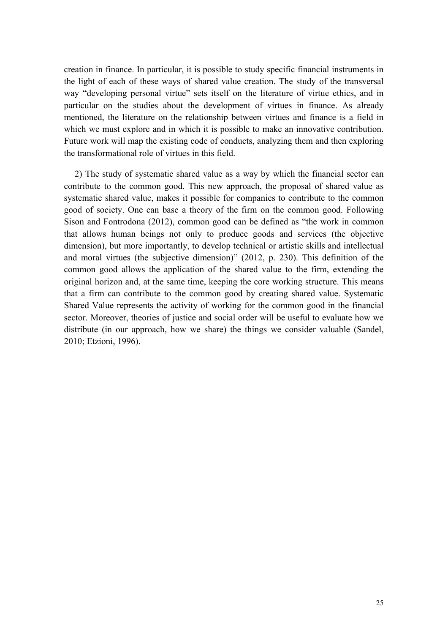creation in finance. In particular, it is possible to study specific financial instruments in the light of each of these ways of shared value creation. The study of the transversal way "developing personal virtue" sets itself on the literature of virtue ethics, and in particular on the studies about the development of virtues in finance. As already mentioned, the literature on the relationship between virtues and finance is a field in which we must explore and in which it is possible to make an innovative contribution. Future work will map the existing code of conducts, analyzing them and then exploring the transformational role of virtues in this field.

2) The study of systematic shared value as a way by which the financial sector can contribute to the common good. This new approach, the proposal of shared value as systematic shared value, makes it possible for companies to contribute to the common good of society. One can base a theory of the firm on the common good. Following Sison and Fontrodona (2012), common good can be defined as "the work in common that allows human beings not only to produce goods and services (the objective dimension), but more importantly, to develop technical or artistic skills and intellectual and moral virtues (the subjective dimension)" (2012, p. 230). This definition of the common good allows the application of the shared value to the firm, extending the original horizon and, at the same time, keeping the core working structure. This means that a firm can contribute to the common good by creating shared value. Systematic Shared Value represents the activity of working for the common good in the financial sector. Moreover, theories of justice and social order will be useful to evaluate how we distribute (in our approach, how we share) the things we consider valuable (Sandel, 2010; Etzioni, 1996).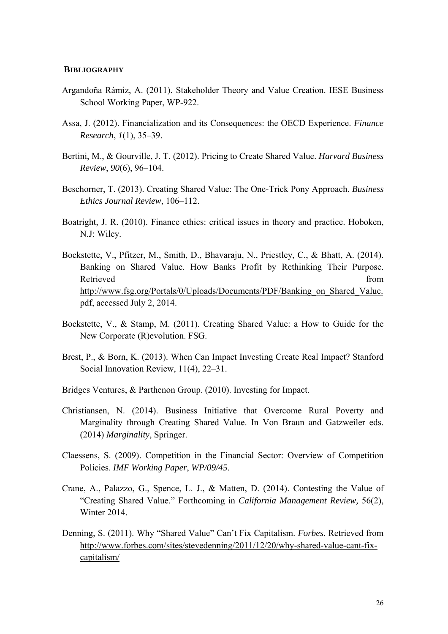#### **BIBLIOGRAPHY**

- Argandoña Rámiz, A. (2011). Stakeholder Theory and Value Creation. IESE Business School Working Paper, WP-922.
- Assa, J. (2012). Financialization and its Consequences: the OECD Experience. *Finance Research*, *1*(1), 35–39.
- Bertini, M., & Gourville, J. T. (2012). Pricing to Create Shared Value. *Harvard Business Review*, *90*(6), 96–104.
- Beschorner, T. (2013). Creating Shared Value: The One-Trick Pony Approach. *Business Ethics Journal Review*, 106–112.
- Boatright, J. R. (2010). Finance ethics: critical issues in theory and practice. Hoboken, N.J: Wiley.
- Bockstette, V., Pfitzer, M., Smith, D., Bhavaraju, N., Priestley, C., & Bhatt, A. (2014). Banking on Shared Value. How Banks Profit by Rethinking Their Purpose. Retrieved from the state of the state of the state of the state of the state of the state of the state of the state of the state of the state of the state of the state of the state of the state of the state of the state of http://www.fsg.org/Portals/0/Uploads/Documents/PDF/Banking\_on\_Shared\_Value. pdf, accessed July 2, 2014.
- Bockstette, V., & Stamp, M. (2011). Creating Shared Value: a How to Guide for the New Corporate (R)evolution. FSG.
- Brest, P., & Born, K. (2013). When Can Impact Investing Create Real Impact? Stanford Social Innovation Review, 11(4), 22–31.
- Bridges Ventures, & Parthenon Group. (2010). Investing for Impact.
- Christiansen, N. (2014). Business Initiative that Overcome Rural Poverty and Marginality through Creating Shared Value. In Von Braun and Gatzweiler eds. (2014) *Marginality*, Springer.
- Claessens, S. (2009). Competition in the Financial Sector: Overview of Competition Policies. *IMF Working Paper*, *WP/09/45*.
- Crane, A., Palazzo, G., Spence, L. J., & Matten, D. (2014). Contesting the Value of "Creating Shared Value." Forthcoming in *California Management Review,* 56(2), Winter 2014.
- Denning, S. (2011). Why "Shared Value" Can't Fix Capitalism. *Forbes*. Retrieved from http://www.forbes.com/sites/stevedenning/2011/12/20/why-shared-value-cant-fixcapitalism/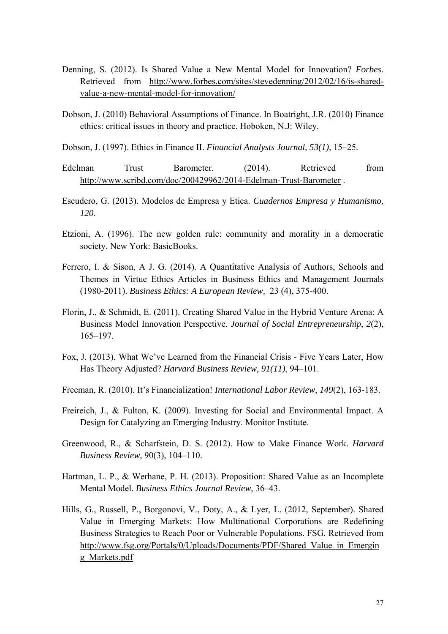- Denning, S. (2012). Is Shared Value a New Mental Model for Innovation? *Forbes*. Retrieved from http://www.forbes.com/sites/stevedenning/2012/02/16/is-sharedvalue-a-new-mental-model-for-innovation/
- Dobson, J. (2010) Behavioral Assumptions of Finance. In Boatright, J.R. (2010) Finance ethics: critical issues in theory and practice. Hoboken, N.J: Wiley.
- Dobson, J. (1997). Ethics in Finance II. *Financial Analysts Journal, 53(1),* 15–25.
- Edelman Trust Barometer. (2014). Retrieved from http://www.scribd.com/doc/200429962/2014-Edelman-Trust-Barometer .
- Escudero, G. (2013). Modelos de Empresa y Etica. *Cuadernos Empresa y Humanismo*, *120*.
- Etzioni, A. (1996). The new golden rule: community and morality in a democratic society. New York: BasicBooks.
- Ferrero, I. & Sison, A J. G. (2014). A Quantitative Analysis of Authors, Schools and Themes in Virtue Ethics Articles in Business Ethics and Management Journals (1980-2011). *Business Ethics: A European Review,* 23 (4), 375-400.
- Florin, J., & Schmidt, E. (2011). Creating Shared Value in the Hybrid Venture Arena: A Business Model Innovation Perspective. *Journal of Social Entrepreneurship*, *2*(2), 165–197.
- Fox, J. (2013). What We've Learned from the Financial Crisis Five Years Later, How Has Theory Adjusted? *Harvard Business Review, 91(11)*, 94–101.
- Freeman, R. (2010). It's Financialization! *International Labor Review*, *149*(2), 163-183.
- Freireich, J., & Fulton, K. (2009). Investing for Social and Environmental Impact. A Design for Catalyzing an Emerging Industry. Monitor Institute.
- Greenwood, R., & Scharfstein, D. S. (2012). How to Make Finance Work. *Harvard Business Review*, 90(3), 104–110.
- Hartman, L. P., & Werhane, P. H. (2013). Proposition: Shared Value as an Incomplete Mental Model. *Business Ethics Journal Review*, 36–43.
- Hills, G., Russell, P., Borgonovi, V., Doty, A., & Lyer, L. (2012, September). Shared Value in Emerging Markets: How Multinational Corporations are Redefining Business Strategies to Reach Poor or Vulnerable Populations. FSG. Retrieved from http://www.fsg.org/Portals/0/Uploads/Documents/PDF/Shared\_Value\_in\_Emergin g\_Markets.pdf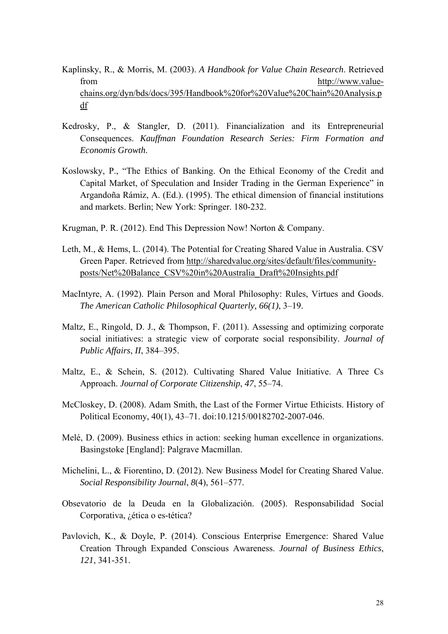- Kaplinsky, R., & Morris, M. (2003). *A Handbook for Value Chain Research*. Retrieved from http://www.valuechains.org/dyn/bds/docs/395/Handbook%20for%20Value%20Chain%20Analysis.p df
- Kedrosky, P., & Stangler, D. (2011). Financialization and its Entrepreneurial Consequences. *Kauffman Foundation Research Series: Firm Formation and Economis Growth*.
- Koslowsky, P., "The Ethics of Banking. On the Ethical Economy of the Credit and Capital Market, of Speculation and Insider Trading in the German Experience" in Argandoña Rámiz, A. (Ed.). (1995). The ethical dimension of financial institutions and markets. Berlin; New York: Springer. 180-232.
- Krugman, P. R. (2012). End This Depression Now! Norton & Company.
- Leth, M., & Hems, L. (2014). The Potential for Creating Shared Value in Australia. CSV Green Paper. Retrieved from http://sharedvalue.org/sites/default/files/communityposts/Net%20Balance\_CSV%20in%20Australia\_Draft%20Insights.pdf
- MacIntyre, A. (1992). Plain Person and Moral Philosophy: Rules, Virtues and Goods. *The American Catholic Philosophical Quarterly, 66(1)*, 3–19.
- Maltz, E., Ringold, D. J., & Thompson, F. (2011). Assessing and optimizing corporate social initiatives: a strategic view of corporate social responsibility. *Journal of Public Affairs*, *II*, 384–395.
- Maltz, E., & Schein, S. (2012). Cultivating Shared Value Initiative. A Three Cs Approach. *Journal of Corporate Citizenship*, *47*, 55–74.
- McCloskey, D. (2008). Adam Smith, the Last of the Former Virtue Ethicists. History of Political Economy, 40(1), 43–71. doi:10.1215/00182702-2007-046.
- Melé, D. (2009). Business ethics in action: seeking human excellence in organizations. Basingstoke [England]: Palgrave Macmillan.
- Michelini, L., & Fiorentino, D. (2012). New Business Model for Creating Shared Value. *Social Responsibility Journal*, *8*(4), 561–577.
- Obsevatorio de la Deuda en la Globalización. (2005). Responsabilidad Social Corporativa, ¿ética o es-tética?
- Pavlovich, K., & Doyle, P. (2014). Conscious Enterprise Emergence: Shared Value Creation Through Expanded Conscious Awareness. *Journal of Business Ethics*, *121*, 341-351.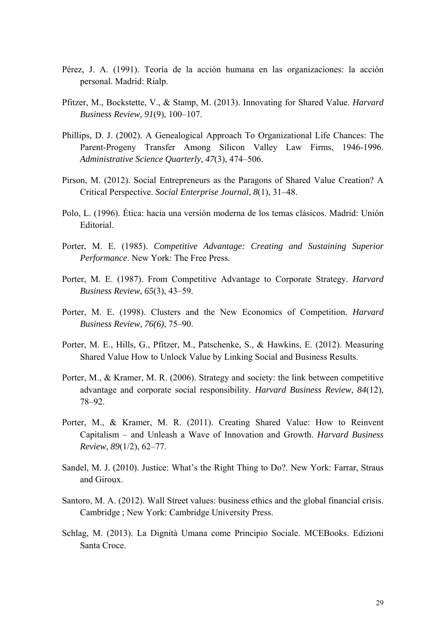- Pérez, J. A. (1991). Teoría de la acción humana en las organizaciones: la acción personal. Madrid: Rialp.
- Pfitzer, M., Bockstette, V., & Stamp, M. (2013). Innovating for Shared Value. *Harvard Business Review*, *91*(9), 100–107.
- Phillips, D. J. (2002). A Genealogical Approach To Organizational Life Chances: The Parent-Progeny Transfer Among Silicon Valley Law Firms, 1946-1996. *Administrative Science Quarterly*, *47*(3), 474–506.
- Pirson, M. (2012). Social Entrepreneurs as the Paragons of Shared Value Creation? A Critical Perspective. *Social Enterprise Journal*, *8*(1), 31–48.
- Polo, L. (1996). Ética: hacia una versión moderna de los temas clásicos. Madrid: Unión Editorial.
- Porter, M. E. (1985). *Competitive Advantage: Creating and Sustaining Superior Performance*. New York: The Free Press.
- Porter, M. E. (1987). From Competitive Advantage to Corporate Strategy. *Harvard Business Review*, *65*(3), 43–59.
- Porter, M. E. (1998). Clusters and the New Economics of Competition. *Harvard Business Review, 76(6)*, 75–90.
- Porter, M. E., Hills, G., Pfitzer, M., Patschenke, S., & Hawkins, E. (2012). Measuring Shared Value How to Unlock Value by Linking Social and Business Results.
- Porter, M., & Kramer, M. R. (2006). Strategy and society: the link between competitive advantage and corporate social responsibility. *Harvard Business Review*, *84*(12), 78–92.
- Porter, M., & Kramer, M. R. (2011). Creating Shared Value: How to Reinvent Capitalism – and Unleash a Wave of Innovation and Growth. *Harvard Business Review*, *89*(1/2), 62–77.
- Sandel, M. J. (2010). Justice: What's the Right Thing to Do?. New York: Farrar, Straus and Giroux.
- Santoro, M. A. (2012). Wall Street values: business ethics and the global financial crisis. Cambridge ; New York: Cambridge University Press.
- Schlag, M. (2013). La Dignità Umana come Principio Sociale. MCEBooks. Edizioni Santa Croce.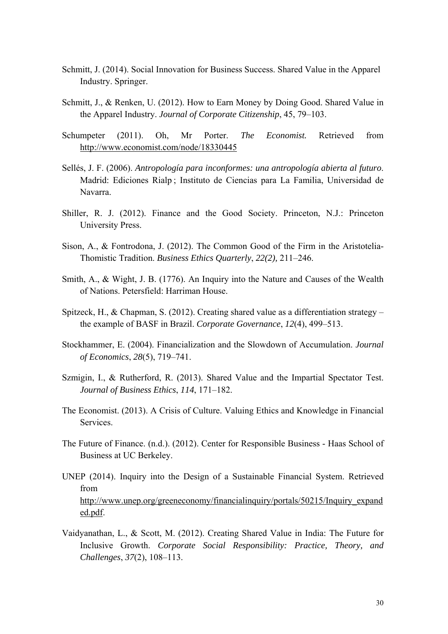- Schmitt, J. (2014). Social Innovation for Business Success. Shared Value in the Apparel Industry. Springer.
- Schmitt, J., & Renken, U. (2012). How to Earn Money by Doing Good. Shared Value in the Apparel Industry. *Journal of Corporate Citizenship*, 45, 79–103.
- Schumpeter (2011). Oh, Mr Porter. *The Economist.* Retrieved from http://www.economist.com/node/18330445
- Sellés, J. F. (2006). *Antropología para inconformes: una antropología abierta al futuro*. Madrid: Ediciones Rialp ; Instituto de Ciencias para La Familia, Universidad de Navarra.
- Shiller, R. J. (2012). Finance and the Good Society. Princeton, N.J.: Princeton University Press.
- Sison, A., & Fontrodona, J. (2012). The Common Good of the Firm in the Aristotelia-Thomistic Tradition. *Business Ethics Quarterly*, *22(2),* 211–246.
- Smith, A., & Wight, J. B. (1776). An Inquiry into the Nature and Causes of the Wealth of Nations. Petersfield: Harriman House.
- Spitzeck, H., & Chapman, S. (2012). Creating shared value as a differentiation strategy the example of BASF in Brazil. *Corporate Governance*, *12*(4), 499–513.
- Stockhammer, E. (2004). Financialization and the Slowdown of Accumulation. *Journal of Economics*, *28*(5), 719–741.
- Szmigin, I., & Rutherford, R. (2013). Shared Value and the Impartial Spectator Test. *Journal of Business Ethics*, *114*, 171–182.
- The Economist. (2013). A Crisis of Culture. Valuing Ethics and Knowledge in Financial Services.
- The Future of Finance. (n.d.). (2012). Center for Responsible Business Haas School of Business at UC Berkeley.
- UNEP (2014). Inquiry into the Design of a Sustainable Financial System. Retrieved from http://www.unep.org/greeneconomy/financialinquiry/portals/50215/Inquiry\_expand ed.pdf.
- Vaidyanathan, L., & Scott, M. (2012). Creating Shared Value in India: The Future for Inclusive Growth. *Corporate Social Responsibility: Practice, Theory, and Challenges*, *37*(2), 108–113.